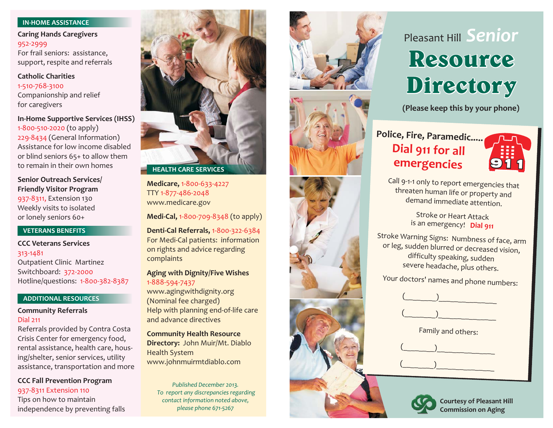## **IN-HOME ASSISTANCE**

For frail seniors: assistance, support, respite and referrals **Caring Hands Caregivers** 952-2999

Companionship and relief for caregivers **Catholic Charities**1-510-768-3100

1-800-510-2020 (to apply) 229-8434 (General Information) Assistance for low income disabledor blind seniors 65+ to allow them to remain in their own homes**In-Home Supportive Services (IHSS)**

**Senior Outreach Services/ Friendly Visitor Program**

937-8311, Extension 130 Weekly visits to isolated or lonely seniors 60+

## **VETERANS BENEFITS**

Outpatient Clinic Martinez Switchboard: 372-2000 Hotline/questions: 1-800-382-8387 **CCC Veterans Services**313-1481

## **ADDITIONAL RESOURCES**

## **Community Referrals** Dial 211

Referrals provided by Contra Costa Crisis Center for emergency food, rental assistance, health care, housing/shelter, senior services, utility assistance, transportation and more

Tips on how to maintain independence by preventing falls **CCC Fall Prevention Program** 937-8311 Extension <sup>110</sup> *Published December 2013. To repor<sup>t</sup> any discrepancies regarding*



TTY 1-877-486-2048 www.medicare.gov **Medicare,** 1-800-633-4227

**Medi-Cal,** 1-800-709-8348 (to apply)

For Medi-Cal patients: information on rights and advice regarding complaints **Denti-Cal Referrals,** 1-800-322-6384

**Aging with Dignity/Five Wishes** 1-888-594-7437

www.agingwithdignity.org (Nominal fee charged) Help with planning end-of-life care and advance directives

**Directory:** John Muir/Mt. Diablo Health System www.johnmuirmtdiablo.com **Community Health Resource**

*contact information noted above, please phone 671-5267*







# Pleasant Hill *Senior* **Resource Directory**

**(Please keep this by your phone)**

## **Dial 911 for all emergencies Police, Fire, Paramedic.....**



Call 9-1-1 only to report emergencies that<br>threaten human life or propertuan J human life orcaten numan life or property and<br>demand immediate attention.

> Stroke or Heart Attackis an emergency! **Dial 911**

Stroke Warning Signs: Numbness of face, arm<br>Or leg. sudden blurred or da... leg, sudden blurred or decreased vision, difficulty speaking, sudden difficulty speaking, sudden<br>severe headache, plus others.

Your doctors' names and phone numbers:

| $\begin{pmatrix} 1 & 1 \\ 1 & 1 \end{pmatrix}$ |  |
|------------------------------------------------|--|
| $\begin{pmatrix} 1 & 1 \\ 1 & 1 \end{pmatrix}$ |  |

Family and others:

 $\begin{pmatrix} \begin{pmatrix} 0 & 1 \end{pmatrix} & 0 & 1 \end{pmatrix}$ 

 $\begin{pmatrix} \begin{pmatrix} 0 & 1 \end{pmatrix} & 0 & 1 \end{pmatrix}$ 



**Courtesy of Pleasant Hill Commission on Aging**